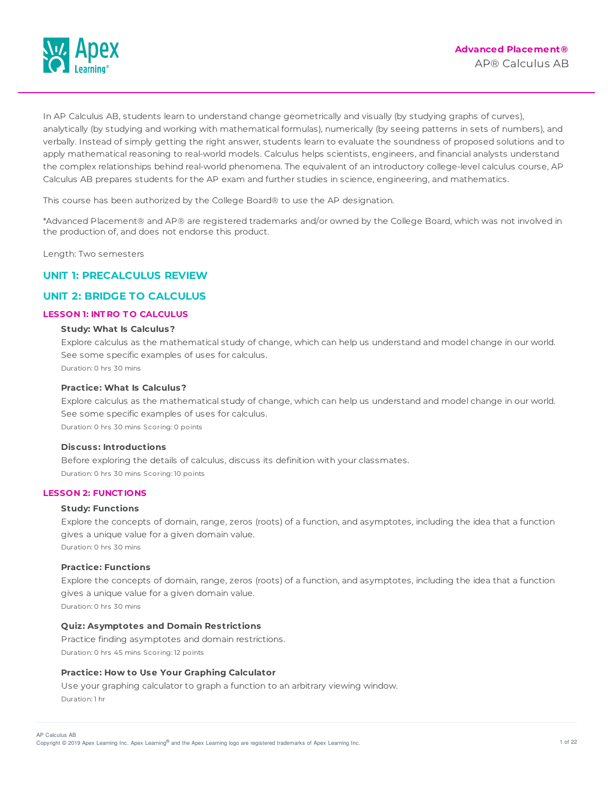

In AP Calculus AB, students learn to understand change geometrically and visually (by studying graphs of curves), analytically (by studying and working with mathematical formulas), numerically (by seeing patterns in sets of numbers), and verbally. Instead of simply getting the right answer, students learn to evaluate the soundness of proposed solutions and to apply mathematical reasoning to real-world models. Calculus helps scientists, engineers, and financial analysts understand the complex relationships behind real-world phenomena. The equivalent of an introductory college-level calculus course, AP Calculus AB prepares students for the AP exam and further studies in science, engineering, and mathematics.

This course has been authorized by the College Board® to use the AP designation.

\*Advanced Placement® and AP® are registered trademarks and/or owned by the College Board, which was not involved in the production of, and does not endorse this product.

Length: Two semesters

# **UNIT 1: PRECALCULUS REVIEW**

# **UNIT 2: BRIDGE TO CALCULUS**

# **LESSON 1: INT RO T O CALCULUS**

# **Study: What Is Calculus?**

Explore calculus as the mathematical study of change, which can help us understand and model change in our world. See some specific examples of uses for calculus. Duration: 0 hrs 30 mins

#### **Practice: What Is Calculus?**

Explore calculus as the mathematical study of change, which can help us understand and model change in our world. See some specific examples of uses for calculus. Duration: 0 hrs 30 mins Scoring: 0 points

#### **Discuss: Introductions**

Before exploring the details of calculus, discuss its definition with your classmates. Duration: 0 hrs 30 mins Scoring: 10 points

#### **LESSON 2: FUNCT IONS**

# **Study: Functions**

Explore the concepts of domain, range, zeros (roots) of a function, and asymptotes, including the idea that a function gives a unique value for a given domain value. Duration: 0 hrs 30 mins

# **Practice: Functions**

Explore the concepts of domain, range, zeros (roots) of a function, and asymptotes, including the idea that a function gives a unique value for a given domain value.

Duration: 0 hrs 30 mins

# **Quiz: Asymptotes and Domain Restrictions**

Practice finding asymptotes and domain restrictions. Duration: 0 hrs 45 mins Scoring: 12 points

### **Practice: How to Use Your Graphing Calculator**

Use your graphing calculator to graph a function to an arbitrary viewing window. Duration: 1 hr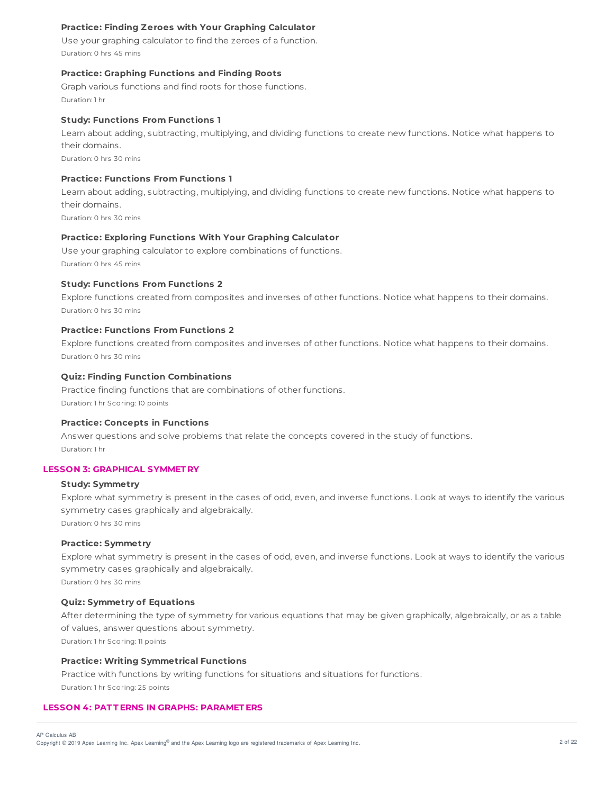# **Practice: Finding Zeroes with Your Graphing Calculator**

Use your graphing calculator to find the zeroes of a function. Duration: 0 hrs 45 mins

# **Practice: Graphing Functions and Finding Roots**

Graph various functions and find roots for those functions. Duration: 1 hr

### **Study: Functions From Functions 1**

Learn about adding, subtracting, multiplying, and dividing functions to create new functions. Notice what happens to their domains.

Duration: 0 hrs 30 mins

# **Practice: Functions From Functions 1**

Learn about adding, subtracting, multiplying, and dividing functions to create new functions. Notice what happens to their domains.

Duration: 0 hrs 30 mins

# **Practice: Exploring Functions With Your Graphing Calculator**

Use your graphing calculator to explore combinations of functions. Duration: 0 hrs 45 mins

# **Study: Functions From Functions 2**

Explore functions created from composites and inverses of other functions. Notice what happens to their domains. Duration: 0 hrs 30 mins

# **Practice: Functions From Functions 2**

Explore functions created from composites and inverses of other functions. Notice what happens to their domains. Duration: 0 hrs 30 mins

### **Quiz: Finding Function Combinations**

Practice finding functions that are combinations of other functions. Duration: 1 hr Scoring: 10 points

#### **Practice: Concepts in Functions**

Answer questions and solve problems that relate the concepts covered in the study of functions. Duration: 1 hr

# **LESSON 3: GRAPHICAL SYMMET RY**

# **Study: Symmetry**

Explore what symmetry is present in the cases of odd, even, and inverse functions. Look at ways to identify the various symmetry cases graphically and algebraically. Duration: 0 hrs 30 mins

#### **Practice: Symmetry**

Explore what symmetry is present in the cases of odd, even, and inverse functions. Look at ways to identify the various symmetry cases graphically and algebraically.

Duration: 0 hrs 30 mins

# **Quiz: Symmetry of Equations**

After determining the type of symmetry for various equations that may be given graphically, algebraically, or as a table of values, answer questions about symmetry.

Duration: 1 hr Scoring: 11 points

# **Practice: Writing Symmetrical Functions**

Practice with functions by writing functions for situations and situations for functions. Duration: 1 hr Scoring: 25 points

# **LESSON 4: PAT T ERNS IN GRAPHS: PARAMET ERS**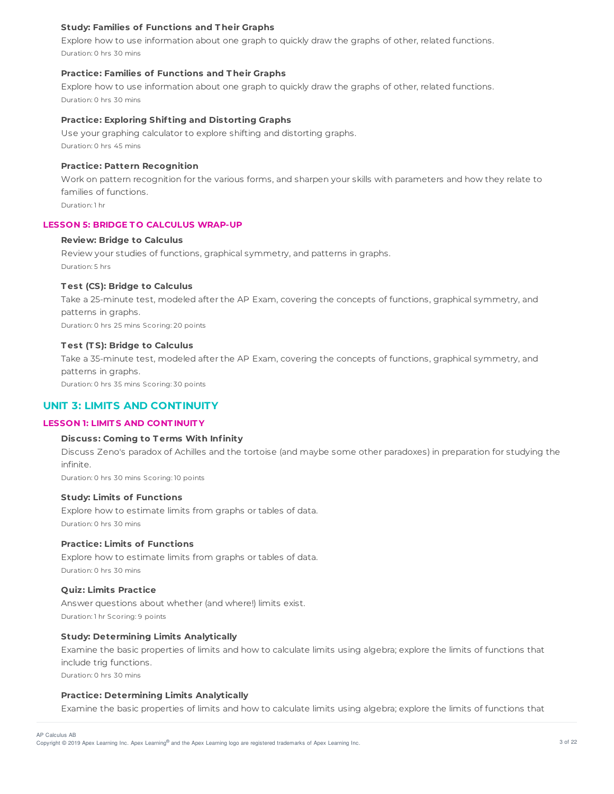# **Study: Families of Functions and T heir Graphs**

Explore how to use information about one graph to quickly draw the graphs of other, related functions. Duration: 0 hrs 30 mins

## **Practice: Families of Functions and T heir Graphs**

Explore how to use information about one graph to quickly draw the graphs of other, related functions. Duration: 0 hrs 30 mins

### **Practice: Exploring Shif ting and Distorting Graphs**

Use your graphing calculator to explore shifting and distorting graphs. Duration: 0 hrs 45 mins

## **Practice: Pattern Recognition**

Work on pattern recognition for the various forms, and sharpen your skills with parameters and how they relate to families of functions.

Duration: 1 hr

#### **LESSON 5: BRIDGE T O CALCULUS WRAP-UP**

# **Review: Bridge to Calculus**

Review your studies of functions, graphical symmetry, and patterns in graphs. Duration: 5 hrs

# **T est (CS): Bridge to Calculus**

Take a 25-minute test, modeled after the AP Exam, covering the concepts of functions, graphical symmetry, and patterns in graphs.

Duration: 0 hrs 25 mins Scoring: 20 points

#### **T est (T S): Bridge to Calculus**

Take a 35-minute test, modeled after the AP Exam, covering the concepts of functions, graphical symmetry, and patterns in graphs.

Duration: 0 hrs 35 mins Scoring: 30 points

# **UNIT 3: LIMITS AND CONTINUITY**

### **LESSON 1: LIMIT S AND CONT INUIT Y**

### **Discuss: Coming to T erms With Infinity**

Discuss Zeno's paradox of Achilles and the tortoise (and maybe some other paradoxes) in preparation for studying the infinite.

Duration: 0 hrs 30 mins Scoring: 10 points

# **Study: Limits of Functions**

Explore how to estimate limits from graphs or tables of data. Duration: 0 hrs 30 mins

# **Practice: Limits of Functions**

Explore how to estimate limits from graphs or tables of data. Duration: 0 hrs 30 mins

#### **Quiz: Limits Practice**

Answer questions about whether (and where!) limits exist. Duration: 1 hr Scoring: 9 points

### **Study: Determining Limits Analytically**

Examine the basic properties of limits and how to calculate limits using algebra; explore the limits of functions that include trig functions. Duration: 0 hrs 30 mins

# **Practice: Determining Limits Analytically**

Examine the basic properties of limits and how to calculate limits using algebra; explore the limits of functions that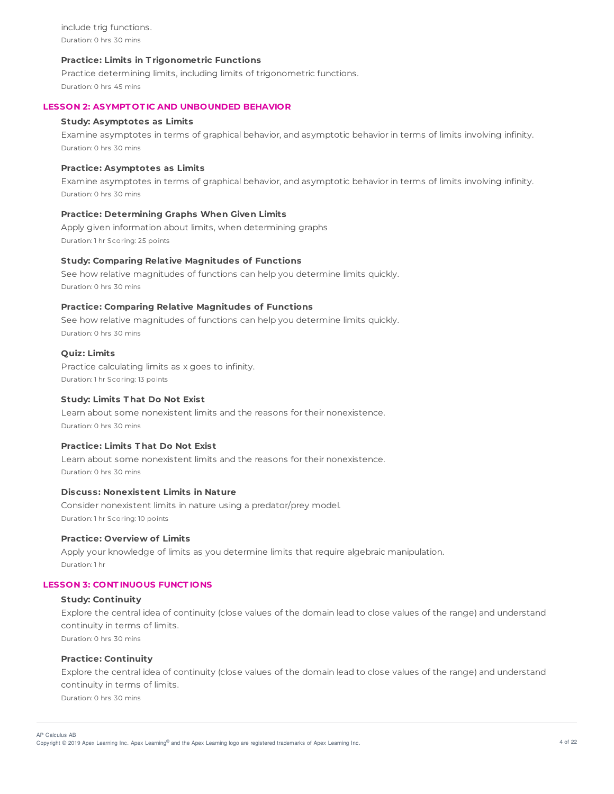include trig functions. Duration: 0 hrs 30 mins

# **Practice: Limits in T rigonometric Functions**

Practice determining limits, including limits of trigonometric functions. Duration: 0 hrs 45 mins

# **LESSON 2: ASYMPT OT IC AND UNBOUNDED BEHAVIOR**

#### **Study: Asymptotes as Limits**

Examine asymptotes in terms of graphical behavior, and asymptotic behavior in terms of limits involving infinity. Duration: 0 hrs 30 mins

## **Practice: Asymptotes as Limits**

Examine asymptotes in terms of graphical behavior, and asymptotic behavior in terms of limits involving infinity. Duration: 0 hrs 30 mins

### **Practice: Determining Graphs When Given Limits**

Apply given information about limits, when determining graphs Duration: 1 hr Scoring: 25 points

### **Study: Comparing Relative Magnitudes of Functions**

See how relative magnitudes of functions can help you determine limits quickly. Duration: 0 hrs 30 mins

## **Practice: Comparing Relative Magnitudes of Functions**

See how relative magnitudes of functions can help you determine limits quickly. Duration: 0 hrs 30 mins

# **Quiz: Limits**

Practice calculating limits as x goes to infinity. Duration: 1 hr Scoring: 13 points

#### **Study: Limits T hat Do Not Exist**

Learn about some nonexistent limits and the reasons for their nonexistence. Duration: 0 hrs 30 mins

# **Practice: Limits T hat Do Not Exist**

Learn about some nonexistent limits and the reasons for their nonexistence. Duration: 0 hrs 30 mins

#### **Discuss: Nonexistent Limits in Nature**

Consider nonexistent limits in nature using a predator/prey model. Duration: 1 hr Scoring: 10 points

#### **Practice: Overview of Limits**

Apply your knowledge of limits as you determine limits that require algebraic manipulation. Duration: 1 hr

# **LESSON 3: CONT INUOUS FUNCT IONS**

#### **Study: Continuity**

Explore the central idea of continuity (close values of the domain lead to close values of the range) and understand continuity in terms of limits. Duration: 0 hrs 30 mins

# **Practice: Continuity**

Explore the central idea of continuity (close values of the domain lead to close values of the range) and understand continuity in terms of limits. Duration: 0 hrs 30 mins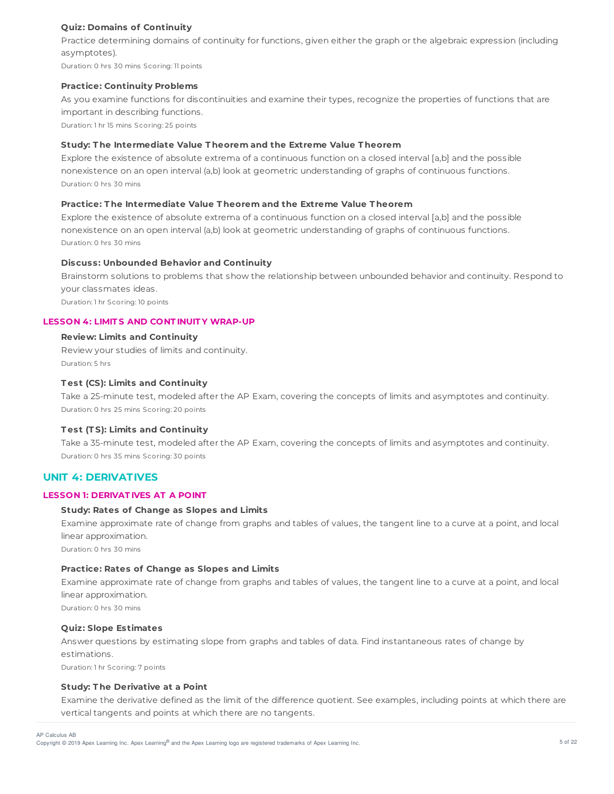# **Quiz: Domains of Continuity**

Practice determining domains of continuity for functions, given either the graph or the algebraic expression (including asymptotes).

Duration: 0 hrs 30 mins Scoring: 11 points

### **Practice: Continuity Problems**

As you examine functions for discontinuities and examine their types, recognize the properties of functions that are important in describing functions.

Duration: 1 hr 15 mins Scoring: 25 points

# **Study: T he Intermediate Value T heorem and the Extreme Value T heorem**

Explore the existence of absolute extrema of a continuous function on a closed interval [a,b] and the possible nonexistence on an open interval (a,b) look at geometric understanding of graphs of continuous functions. Duration: 0 hrs 30 mins

# **Practice: T he Intermediate Value T heorem and the Extreme Value T heorem**

Explore the existence of absolute extrema of a continuous function on a closed interval [a,b] and the possible nonexistence on an open interval (a,b) look at geometric understanding of graphs of continuous functions. Duration: 0 hrs 30 mins

# **Discuss: Unbounded Behavior and Continuity**

Brainstorm solutions to problems that show the relationship between unbounded behavior and continuity. Respond to your classmates ideas.

Duration: 1 hr Scoring: 10 points

# **LESSON 4: LIMIT S AND CONT INUIT Y WRAP-UP**

# **Review: Limits and Continuity**

Review your studies of limits and continuity. Duration: 5 hrs

# **T est (CS): Limits and Continuity**

Take a 25-minute test, modeled after the AP Exam, covering the concepts of limits and asymptotes and continuity. Duration: 0 hrs 25 mins Scoring: 20 points

# **T est (T S): Limits and Continuity**

Take a 35-minute test, modeled after the AP Exam, covering the concepts of limits and asymptotes and continuity. Duration: 0 hrs 35 mins Scoring: 30 points

# **UNIT 4: DERIVATIVES**

# **LESSON 1: DERIVAT IVES AT A POINT**

# **Study: Rates of Change as Slopes and Limits**

Examine approximate rate of change from graphs and tables of values, the tangent line to a curve at a point, and local linear approximation.

Duration: 0 hrs 30 mins

# **Practice: Rates of Change as Slopes and Limits**

Examine approximate rate of change from graphs and tables of values, the tangent line to a curve at a point, and local linear approximation.

Duration: 0 hrs 30 mins

## **Quiz: Slope Estimates**

Answer questions by estimating slope from graphs and tables of data. Find instantaneous rates of change by estimations.

Duration: 1 hr Scoring: 7 points

# **Study: T he Derivative at a Point**

Examine the derivative defined as the limit of the difference quotient. See examples, including points at which there are vertical tangents and points at which there are no tangents.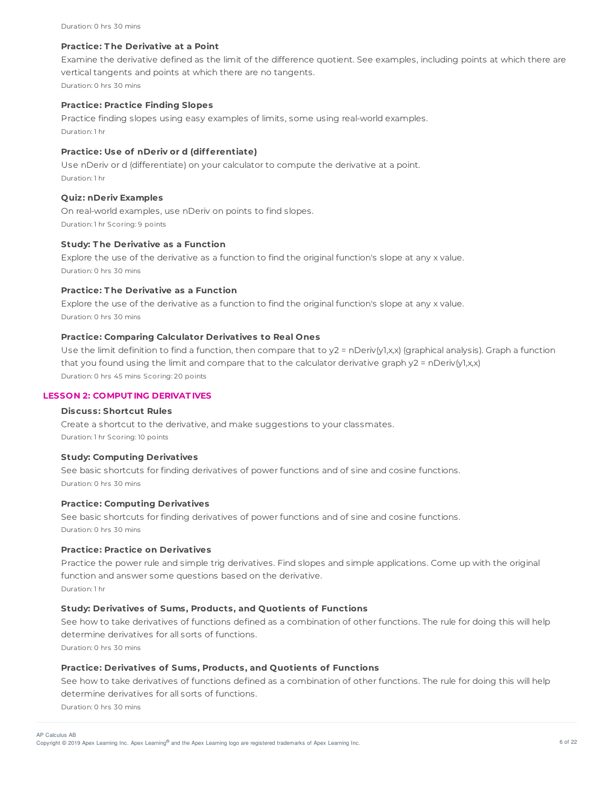# **Practice: T he Derivative at a Point**

Examine the derivative defined as the limit of the difference quotient. See examples, including points at which there are vertical tangents and points at which there are no tangents. Duration: 0 hrs 30 mins

# **Practice: Practice Finding Slopes**

Practice finding slopes using easy examples of limits, some using real-world examples. Duration: 1 hr

# **Practice: Use of nDeriv or d (differentiate)**

Use nDeriv or d (differentiate) on your calculator to compute the derivative at a point. Duration: 1 hr

#### **Quiz: nDeriv Examples**

On real-world examples, use nDeriv on points to find slopes. Duration: 1 hr Scoring: 9 points

### **Study: T he Derivative as a Function**

Explore the use of the derivative as a function to find the original function's slope at any x value. Duration: 0 hrs 30 mins

# **Practice: T he Derivative as a Function**

Explore the use of the derivative as a function to find the original function's slope at any x value. Duration: 0 hrs 30 mins

# **Practice: Comparing Calculator Derivatives to Real Ones**

Use the limit definition to find a function, then compare that to  $y2 = nDeriv(y1,x,x)$  (graphical analysis). Graph a function that you found using the limit and compare that to the calculator derivative graph y2 = nDeriv(y1,x,x) Duration: 0 hrs 45 mins Scoring: 20 points

#### **LESSON 2: COMPUT ING DERIVAT IVES**

### **Discuss: Shortcut Rules**

Create a shortcut to the derivative, and make suggestions to your classmates. Duration: 1 hr Scoring: 10 points

#### **Study: Computing Derivatives**

See basic shortcuts for finding derivatives of power functions and of sine and cosine functions. Duration: 0 hrs 30 mins

## **Practice: Computing Derivatives**

See basic shortcuts for finding derivatives of power functions and of sine and cosine functions. Duration: 0 hrs 30 mins

#### **Practice: Practice on Derivatives**

Practice the power rule and simple trig derivatives. Find slopes and simple applications. Come up with the original function and answer some questions based on the derivative. Duration: 1 hr

# **Study: Derivatives of Sums, Products, and Quotients of Functions**

See how to take derivatives of functions defined as a combination of other functions. The rule for doing this will help determine derivatives for all sorts of functions.

Duration: 0 hrs 30 mins

#### **Practice: Derivatives of Sums, Products, and Quotients of Functions**

See how to take derivatives of functions defined as a combination of other functions. The rule for doing this will help determine derivatives for all sorts of functions. Duration: 0 hrs 30 mins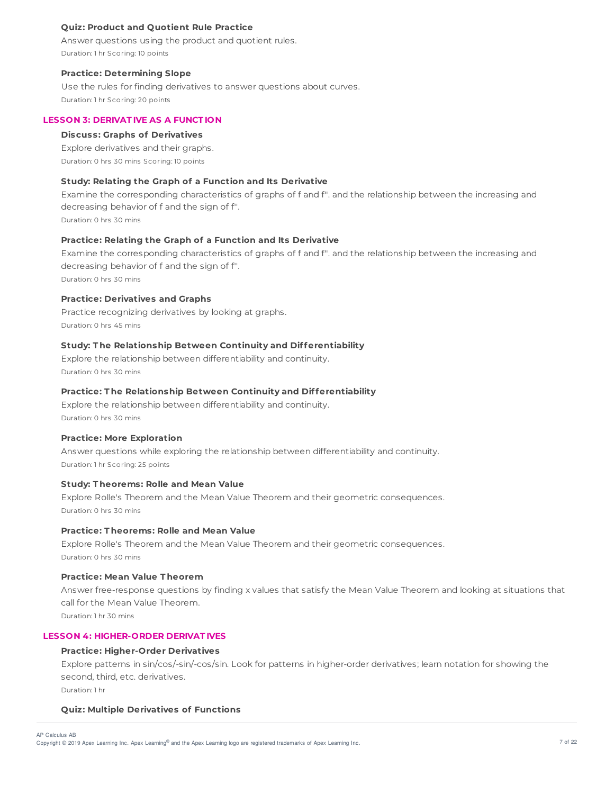# **Quiz: Product and Quotient Rule Practice**

Answer questions using the product and quotient rules. Duration: 1 hr Scoring: 10 points

# **Practice: Determining Slope**

Use the rules for finding derivatives to answer questions about curves. Duration: 1 hr Scoring: 20 points

# **LESSON 3: DERIVAT IVE AS A FUNCT ION**

# **Discuss: Graphs of Derivatives**

Explore derivatives and their graphs. Duration: 0 hrs 30 mins Scoring: 10 points

# **Study: Relating the Graph of a Function and Its Derivative**

Examine the corresponding characteristics of graphs of f and f''. and the relationship between the increasing and decreasing behavior of f and the sign of f''.

Duration: 0 hrs 30 mins

# **Practice: Relating the Graph of a Function and Its Derivative**

Examine the corresponding characteristics of graphs of f and f''. and the relationship between the increasing and decreasing behavior of f and the sign of f''. Duration: 0 hrs 30 mins

# **Practice: Derivatives and Graphs**

Practice recognizing derivatives by looking at graphs. Duration: 0 hrs 45 mins

# **Study: T he Relationship Between Continuity and Differentiability**

Explore the relationship between differentiability and continuity. Duration: 0 hrs 30 mins

# **Practice: T he Relationship Between Continuity and Differentiability**

Explore the relationship between differentiability and continuity. Duration: 0 hrs 30 mins

# **Practice: More Exploration**

Answer questions while exploring the relationship between differentiability and continuity. Duration: 1 hr Scoring: 25 points

# **Study: T heorems: Rolle and Mean Value**

Explore Rolle's Theorem and the Mean Value Theorem and their geometric consequences. Duration: 0 hrs 30 mins

# **Practice: T heorems: Rolle and Mean Value**

Explore Rolle's Theorem and the Mean Value Theorem and their geometric consequences. Duration: 0 hrs 30 mins

# **Practice: Mean Value T heorem**

Answer free-response questions by finding x values that satisfy the Mean Value Theorem and looking at situations that call for the Mean Value Theorem.

Duration: 1 hr 30 mins

# **LESSON 4: HIGHER-ORDER DERIVAT IVES**

# **Practice: Higher-Order Derivatives**

Explore patterns in sin/cos/-sin/-cos/sin. Look for patterns in higher-order derivatives; learn notation for showing the second, third, etc. derivatives. Duration: 1 hr

# **Quiz: Multiple Derivatives of Functions**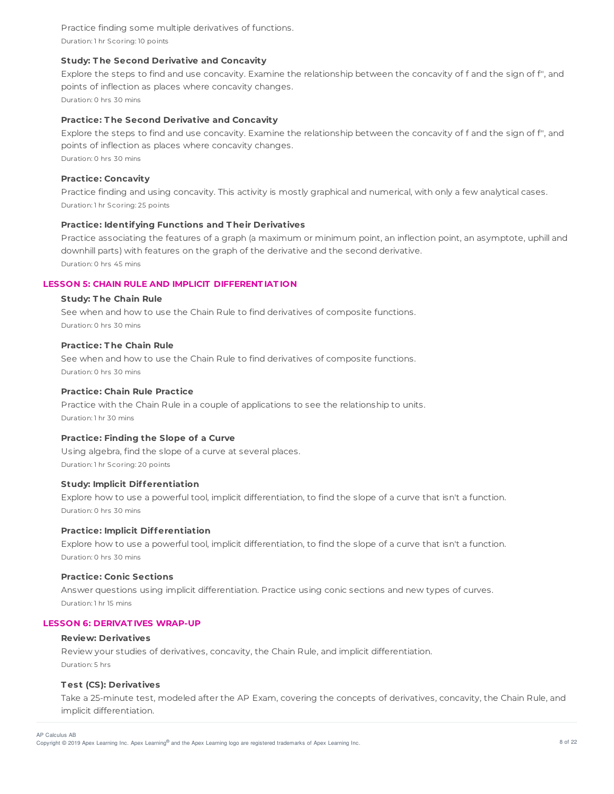Practice finding some multiple derivatives of functions. Duration: 1 hr Scoring: 10 points

# **Study: T he Second Derivative and Concavity**

Explore the steps to find and use concavity. Examine the relationship between the concavity of f and the sign of f'', and points of inflection as places where concavity changes. Duration: 0 hrs 30 mins

### **Practice: T he Second Derivative and Concavity**

Explore the steps to find and use concavity. Examine the relationship between the concavity of f and the sign of f'', and points of inflection as places where concavity changes. Duration: 0 hrs 30 mins

# **Practice: Concavity**

Practice finding and using concavity. This activity is mostly graphical and numerical, with only a few analytical cases. Duration: 1 hr Scoring: 25 points

# **Practice: Identifying Functions and T heir Derivatives**

Practice associating the features of a graph (a maximum or minimum point, an inflection point, an asymptote, uphill and downhill parts) with features on the graph of the derivative and the second derivative. Duration: 0 hrs 45 mins

# **LESSON 5: CHAIN RULE AND IMPLICIT DIFFERENT IAT ION**

### **Study: T he Chain Rule**

See when and how to use the Chain Rule to find derivatives of composite functions. Duration: 0 hrs 30 mins

# **Practice: T he Chain Rule**

See when and how to use the Chain Rule to find derivatives of composite functions. Duration: 0 hrs 30 mins

## **Practice: Chain Rule Practice**

Practice with the Chain Rule in a couple of applications to see the relationship to units. Duration: 1 hr 30 mins

### **Practice: Finding the Slope of a Curve**

Using algebra, find the slope of a curve at several places. Duration: 1 hr Scoring: 20 points

### **Study: Implicit Differentiation**

Explore how to use a powerful tool, implicit differentiation, to find the slope of a curve that isn't a function. Duration: 0 hrs 30 mins

## **Practice: Implicit Differentiation**

Explore how to use a powerful tool, implicit differentiation, to find the slope of a curve that isn't a function. Duration: 0 hrs 30 mins

#### **Practice: Conic Sections**

Answer questions using implicit differentiation. Practice using conic sections and new types of curves. Duration: 1 hr 15 mins

# **LESSON 6: DERIVAT IVES WRAP-UP**

### **Review: Derivatives**

Review your studies of derivatives, concavity, the Chain Rule, and implicit differentiation. Duration: 5 hrs

#### **T est (CS): Derivatives**

Take a 25-minute test, modeled after the AP Exam, covering the concepts of derivatives, concavity, the Chain Rule, and implicit differentiation.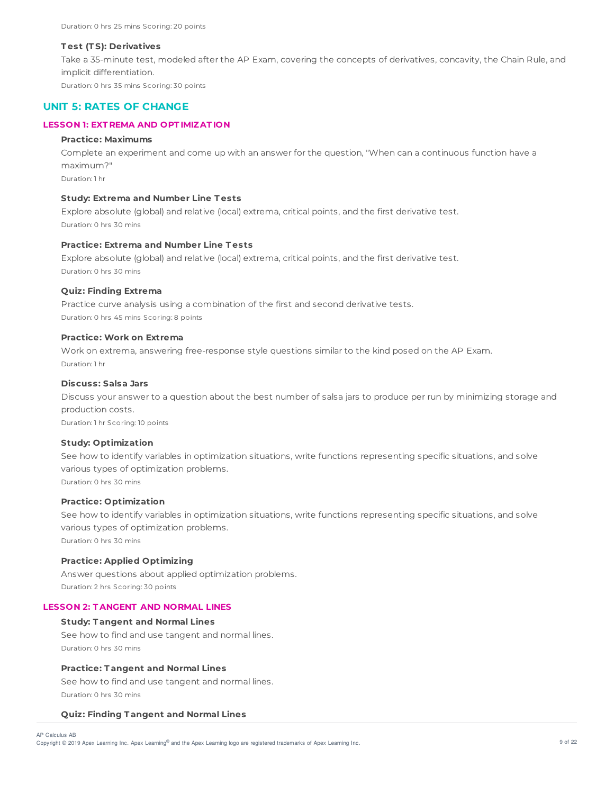#### **T est (T S): Derivatives**

Take a 35-minute test, modeled after the AP Exam, covering the concepts of derivatives, concavity, the Chain Rule, and implicit differentiation.

Duration: 0 hrs 35 mins Scoring: 30 points

# **UNIT 5: RATES OF CHANGE**

# **LESSON 1: EXT REMA AND OPT IMIZAT ION**

#### **Practice: Maximums**

Complete an experiment and come up with an answer for the question, "When can a continuous function have a maximum?" Duration: 1 hr

# **Study: Extrema and Number Line T ests**

Explore absolute (global) and relative (local) extrema, critical points, and the first derivative test. Duration: 0 hrs 30 mins

# **Practice: Extrema and Number Line T ests**

Explore absolute (global) and relative (local) extrema, critical points, and the first derivative test. Duration: 0 hrs 30 mins

### **Quiz: Finding Extrema**

Practice curve analysis using a combination of the first and second derivative tests. Duration: 0 hrs 45 mins Scoring: 8 points

### **Practice: Work on Extrema**

Work on extrema, answering free-response style questions similar to the kind posed on the AP Exam. Duration: 1 hr

### **Discuss: Salsa Jars**

Discuss your answer to a question about the best number of salsa jars to produce per run by minimizing storage and production costs.

Duration: 1 hr Scoring: 10 points

## **Study: Optimization**

See how to identify variables in optimization situations, write functions representing specific situations, and solve various types of optimization problems. Duration: 0 hrs 30 mins

**Practice: Optimization**

See how to identify variables in optimization situations, write functions representing specific situations, and solve various types of optimization problems.

Duration: 0 hrs 30 mins

# **Practice: Applied Optimizing**

Answer questions about applied optimization problems. Duration: 2 hrs Scoring: 30 points

# **LESSON 2: T ANGENT AND NORMAL LINES**

# **Study: T angent and Normal Lines**

See how to find and use tangent and normal lines. Duration: 0 hrs 30 mins

# **Practice: T angent and Normal Lines**

See how to find and use tangent and normal lines. Duration: 0 hrs 30 mins

#### **Quiz: Finding T angent and Normal Lines**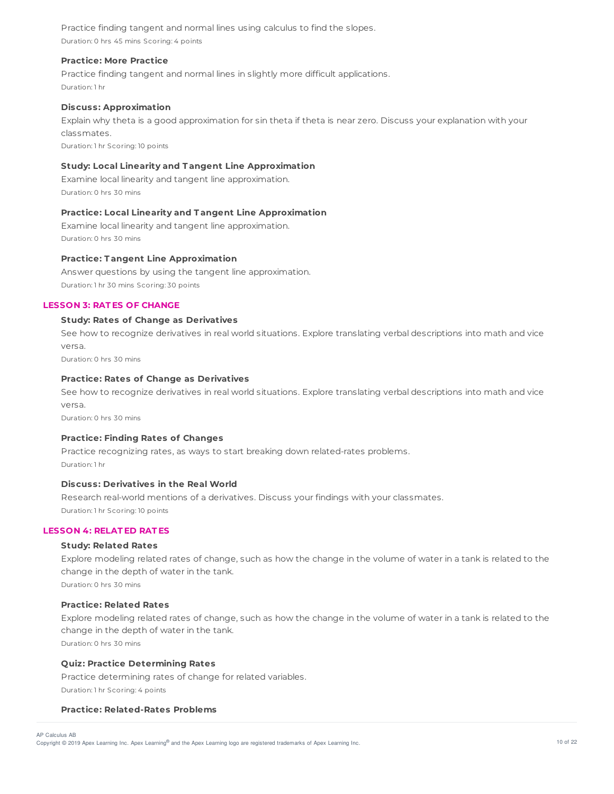Practice finding tangent and normal lines using calculus to find the slopes. Duration: 0 hrs 45 mins Scoring: 4 points

## **Practice: More Practice**

Practice finding tangent and normal lines in slightly more difficult applications. Duration: 1 hr

# **Discuss: Approximation**

Explain why theta is a good approximation for sin theta if theta is near zero. Discuss your explanation with your classmates.

Duration: 1 hr Scoring: 10 points

# **Study: Local Linearity and T angent Line Approximation**

Examine local linearity and tangent line approximation. Duration: 0 hrs 30 mins

## **Practice: Local Linearity and T angent Line Approximation**

Examine local linearity and tangent line approximation. Duration: 0 hrs 30 mins

### **Practice: T angent Line Approximation**

Answer questions by using the tangent line approximation. Duration: 1 hr 30 mins Scoring: 30 points

# **LESSON 3: RAT ES OF CHANGE**

# **Study: Rates of Change as Derivatives**

See how to recognize derivatives in real world situations. Explore translating verbal descriptions into math and vice versa.

Duration: 0 hrs 30 mins

# **Practice: Rates of Change as Derivatives**

See how to recognize derivatives in real world situations. Explore translating verbal descriptions into math and vice versa.

Duration: 0 hrs 30 mins

#### **Practice: Finding Rates of Changes**

Practice recognizing rates, as ways to start breaking down related-rates problems. Duration: 1 hr

# **Discuss: Derivatives in the Real World**

Research real-world mentions of a derivatives. Discuss your findings with your classmates. Duration: 1 hr Scoring: 10 points

# **LESSON 4: RELAT ED RAT ES**

# **Study: Related Rates**

Explore modeling related rates of change, such as how the change in the volume of water in a tank is related to the change in the depth of water in the tank.

Duration: 0 hrs 30 mins

# **Practice: Related Rates**

Explore modeling related rates of change, such as how the change in the volume of water in a tank is related to the change in the depth of water in the tank.

Duration: 0 hrs 30 mins

#### **Quiz: Practice Determining Rates**

Practice determining rates of change for related variables. Duration: 1 hr Scoring: 4 points

#### **Practice: Related-Rates Problems**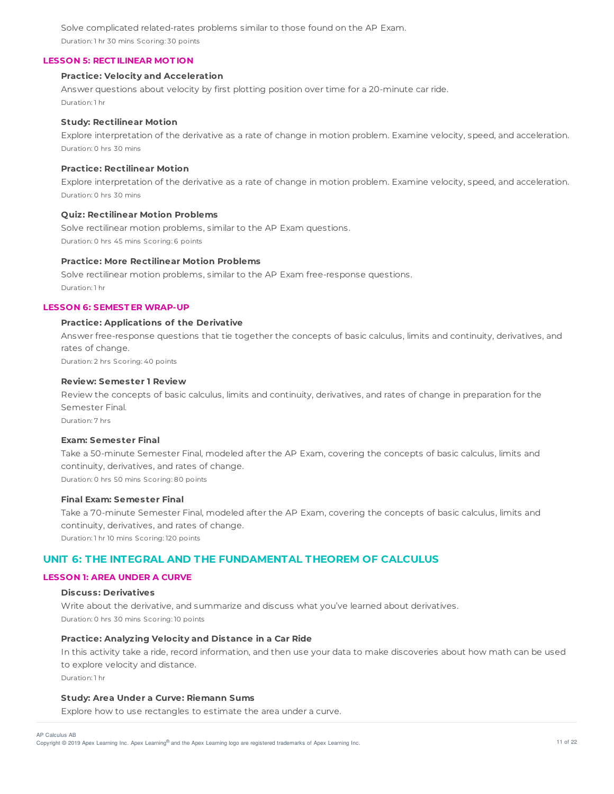Solve complicated related-rates problems similar to those found on the AP Exam. Duration: 1 hr 30 mins Scoring: 30 points

### **LESSON 5: RECT ILINEAR MOT ION**

### **Practice: Velocity and Acceleration**

Answer questions about velocity by first plotting position over time for a 20-minute car ride. Duration: 1 hr

#### **Study: Rectilinear Motion**

Explore interpretation of the derivative as a rate of change in motion problem. Examine velocity, speed, and acceleration. Duration: 0 hrs 30 mins

# **Practice: Rectilinear Motion**

Explore interpretation of the derivative as a rate of change in motion problem. Examine velocity, speed, and acceleration. Duration: 0 hrs 30 mins

### **Quiz: Rectilinear Motion Problems**

Solve rectilinear motion problems, similar to the AP Exam questions. Duration: 0 hrs 45 mins Scoring: 6 points

# **Practice: More Rectilinear Motion Problems**

Solve rectilinear motion problems, similar to the AP Exam free-response questions. Duration: 1 hr

### **LESSON 6: SEMEST ER WRAP-UP**

### **Practice: Applications of the Derivative**

Answer free-response questions that tie together the concepts of basic calculus, limits and continuity, derivatives, and rates of change.

Duration: 2 hrs Scoring: 40 points

# **Review: Semester 1 Review**

Review the concepts of basic calculus, limits and continuity, derivatives, and rates of change in preparation for the Semester Final.

Duration: 7 hrs

# **Exam: Semester Final**

Take a 50-minute Semester Final, modeled after the AP Exam, covering the concepts of basic calculus, limits and continuity, derivatives, and rates of change. Duration: 0 hrs 50 mins Scoring: 80 points

# **Final Exam: Semester Final**

Take a 70-minute Semester Final, modeled after the AP Exam, covering the concepts of basic calculus, limits and continuity, derivatives, and rates of change. Duration: 1 hr 10 mins Scoring: 120 points

# **UNIT 6: THE INTEGRAL AND THE FUNDAMENTAL THEOREM OF CALCULUS**

# **LESSON 1: AREA UNDER A CURVE**

## **Discuss: Derivatives**

Write about the derivative, and summarize and discuss what you've learned about derivatives. Duration: 0 hrs 30 mins Scoring: 10 points

### **Practice: Analyzing Velocity and Distance in a Car Ride**

In this activity take a ride, record information, and then use your data to make discoveries about how math can be used to explore velocity and distance.

Duration: 1 hr

# **Study: Area Under a Curve: Riemann Sums**

Explore how to use rectangles to estimate the area under a curve.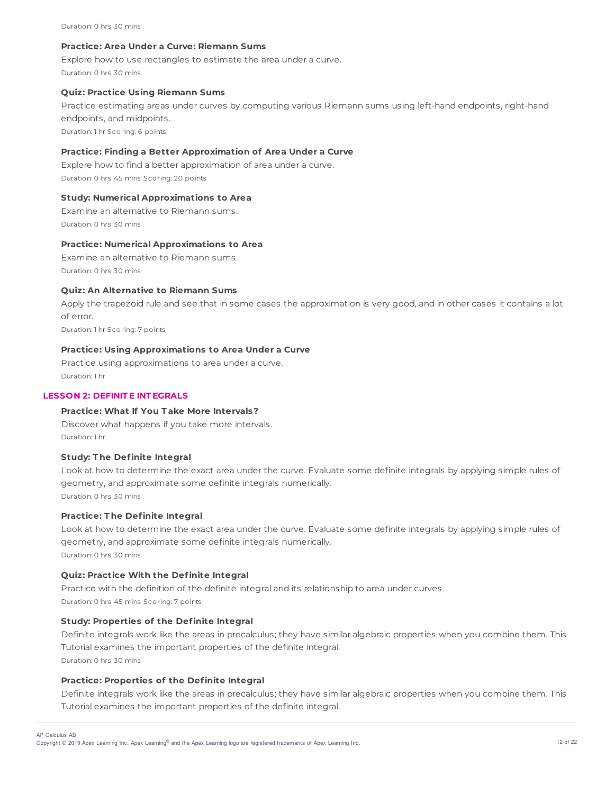#### Duration: 0 hrs 30 mins

### **Practice: Area Under a Curve: Riemann Sums**

Explore how to use rectangles to estimate the area under a curve. Duration: 0 hrs 30 mins

### **Quiz: Practice Using Riemann Sums**

Practice estimating areas under curves by computing various Riemann sums using left-hand endpoints, right-hand endpoints, and midpoints.

Duration: 1 hr Scoring: 6 points

# **Practice: Finding a Better Approximation of Area Under a Curve**

Explore how to find a better approximation of area under a curve. Duration: 0 hrs 45 mins Scoring: 20 points

# **Study: Numerical Approximations to Area**

Examine an alternative to Riemann sums. Duration: 0 hrs 30 mins

#### **Practice: Numerical Approximations to Area**

Examine an alternative to Riemann sums. Duration: 0 hrs 30 mins

### **Quiz: An Alternative to Riemann Sums**

Apply the trapezoid rule and see that in some cases the approximation is very good, and in other cases it contains a lot of error.

Duration: 1 hr Scoring: 7 points

# **Practice: Using Approximations to Area Under a Curve**

Practice using approximations to area under a curve. Duration: 1 hr

# **LESSON 2: DEFINIT E INT EGRALS**

# **Practice: What If You T ake More Intervals?**

Discover what happens if you take more intervals. Duration: 1 hr

#### **Study: T he Definite Integral**

Look at how to determine the exact area under the curve. Evaluate some definite integrals by applying simple rules of geometry, and approximate some definite integrals numerically. Duration: 0 hrs 30 mins

#### **Practice: T he Definite Integral**

Look at how to determine the exact area under the curve. Evaluate some definite integrals by applying simple rules of geometry, and approximate some definite integrals numerically. Duration: 0 hrs 30 mins

#### **Quiz: Practice With the Definite Integral**

Practice with the definition of the definite integral and its relationship to area under curves. Duration: 0 hrs 45 mins Scoring: 7 points

# **Study: Properties of the Definite Integral**

Definite integrals work like the areas in precalculus; they have similar algebraic properties when you combine them. This Tutorial examines the important properties of the definite integral. Duration: 0 hrs 30 mins

#### **Practice: Properties of the Definite Integral**

Definite integrals work like the areas in precalculus; they have similar algebraic properties when you combine them. This Tutorial examines the important properties of the definite integral.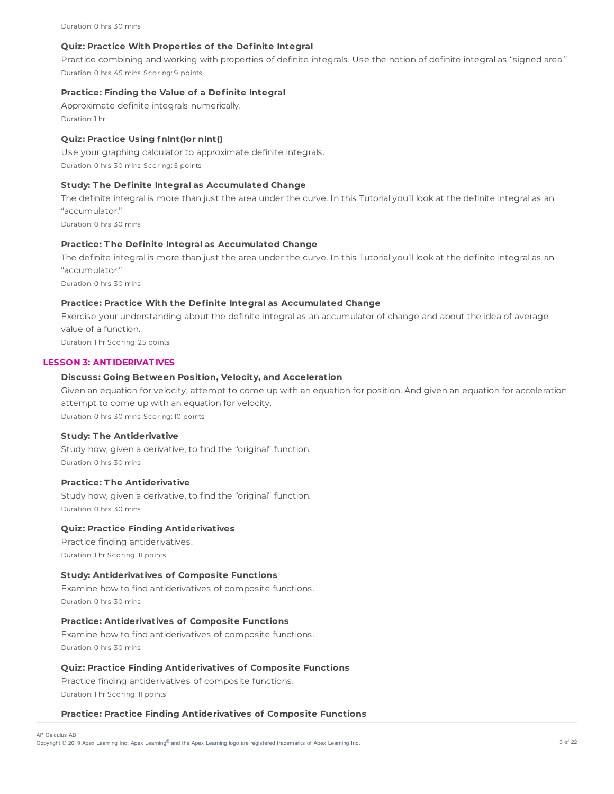Duration: 0 hrs 30 mins

#### **Quiz: Practice With Properties of the Definite Integral**

Practice combining and working with properties of definite integrals. Use the notion of definite integral as "signed area." Duration: 0 hrs 45 mins Scoring: 9 points

### **Practice: Finding the Value of a Definite Integral**

Approximate definite integrals numerically. Duration: 1 hr

# **Quiz: Practice Using fnInt()or nInt()**

Use your graphing calculator to approximate definite integrals. Duration: 0 hrs 30 mins Scoring: 5 points

#### **Study: T he Definite Integral as Accumulated Change**

The definite integral is more than just the area under the curve. In this Tutorial you'll look at the definite integral as an "accumulator."

Duration: 0 hrs 30 mins

## **Practice: T he Definite Integral as Accumulated Change**

The definite integral is more than just the area under the curve. In this Tutorial you'll look at the definite integral as an "accumulator."

Duration: 0 hrs 30 mins

### **Practice: Practice With the Definite Integral as Accumulated Change**

Exercise your understanding about the definite integral as an accumulator of change and about the idea of average value of a function. Duration: 1 hr Scoring: 25 points

#### **LESSON 3: ANT IDERIVAT IVES**

### **Discuss: Going Between Position, Velocity, and Acceleration**

Given an equation for velocity, attempt to come up with an equation for position. And given an equation for acceleration attempt to come up with an equation for velocity. Duration: 0 hrs 30 mins Scoring: 10 points

### **Study: T he Antiderivative**

Study how, given a derivative, to find the "original" function. Duration: 0 hrs 30 mins

# **Practice: T he Antiderivative**

Study how, given a derivative, to find the "original" function. Duration: 0 hrs 30 mins

#### **Quiz: Practice Finding Antiderivatives**

Practice finding antiderivatives. Duration: 1 hr Scoring: 11 points

#### **Study: Antiderivatives of Composite Functions**

Examine how to find antiderivatives of composite functions. Duration: 0 hrs 30 mins

# **Practice: Antiderivatives of Composite Functions**

Examine how to find antiderivatives of composite functions. Duration: 0 hrs 30 mins

# **Quiz: Practice Finding Antiderivatives of Composite Functions**

Practice finding antiderivatives of composite functions. Duration: 1 hr Scoring: 11 points

#### **Practice: Practice Finding Antiderivatives of Composite Functions**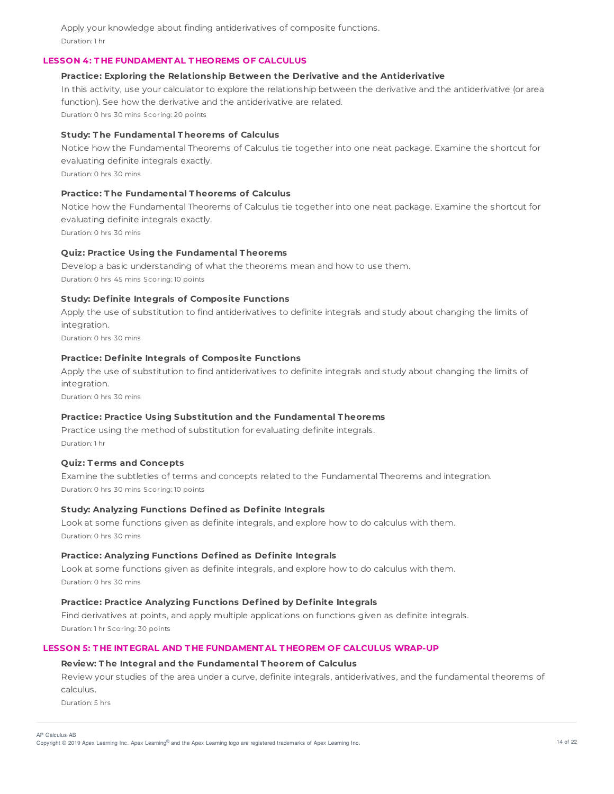Apply your knowledge about finding antiderivatives of composite functions. Duration: 1 hr

# **LESSON 4: T HE FUNDAMENT AL T HEOREMS OF CALCULUS**

#### **Practice: Exploring the Relationship Between the Derivative and the Antiderivative**

In this activity, use your calculator to explore the relationship between the derivative and the antiderivative (or area function). See how the derivative and the antiderivative are related.

Duration: 0 hrs 30 mins Scoring: 20 points

### **Study: T he Fundamental T heorems of Calculus**

Notice how the Fundamental Theorems of Calculus tie together into one neat package. Examine the shortcut for evaluating definite integrals exactly.

Duration: 0 hrs 30 mins

# **Practice: T he Fundamental T heorems of Calculus**

Notice how the Fundamental Theorems of Calculus tie together into one neat package. Examine the shortcut for evaluating definite integrals exactly.

Duration: 0 hrs 30 mins

# **Quiz: Practice Using the Fundamental T heorems**

Develop a basic understanding of what the theorems mean and how to use them. Duration: 0 hrs 45 mins Scoring: 10 points

# **Study: Definite Integrals of Composite Functions**

Apply the use of substitution to find antiderivatives to definite integrals and study about changing the limits of integration.

Duration: 0 hrs 30 mins

# **Practice: Definite Integrals of Composite Functions**

Apply the use of substitution to find antiderivatives to definite integrals and study about changing the limits of integration.

Duration: 0 hrs 30 mins

## **Practice: Practice Using Substitution and the Fundamental T heorems**

Practice using the method of substitution for evaluating definite integrals. Duration: 1 hr

# **Quiz: T erms and Concepts**

Examine the subtleties of terms and concepts related to the Fundamental Theorems and integration. Duration: 0 hrs 30 mins Scoring: 10 points

# **Study: Analyzing Functions Defined as Definite Integrals**

Look at some functions given as definite integrals, and explore how to do calculus with them. Duration: 0 hrs 30 mins

## **Practice: Analyzing Functions Defined as Definite Integrals**

Look at some functions given as definite integrals, and explore how to do calculus with them. Duration: 0 hrs 30 mins

## **Practice: Practice Analyzing Functions Defined by Definite Integrals**

Find derivatives at points, and apply multiple applications on functions given as definite integrals. Duration: 1 hr Scoring: 30 points

# **LESSON 5: T HE INT EGRAL AND T HE FUNDAMENT AL T HEOREM OF CALCULUS WRAP-UP**

#### **Review: T he Integral and the Fundamental T heorem of Calculus**

Review your studies of the area under a curve, definite integrals, antiderivatives, and the fundamental theorems of calculus.

Duration: 5 hrs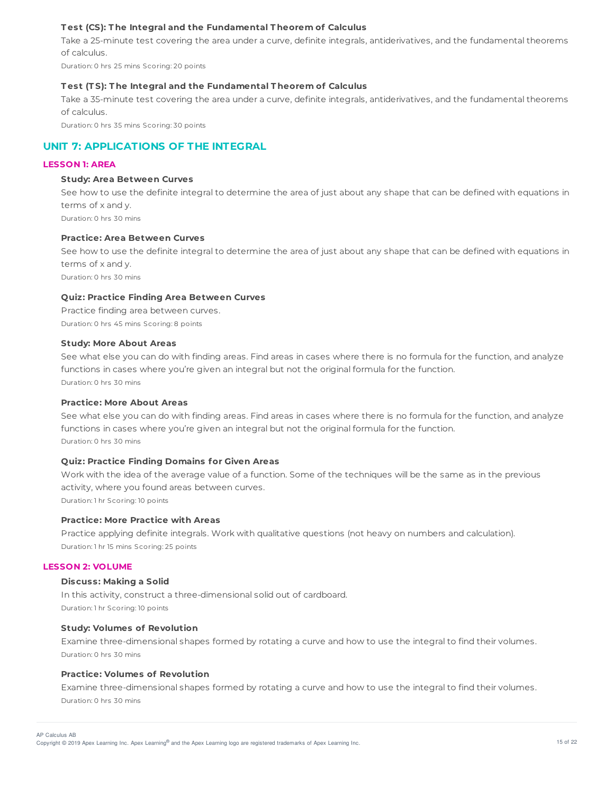# **T est (CS): T he Integral and the Fundamental T heorem of Calculus**

Take a 25-minute test covering the area under a curve, definite integrals, antiderivatives, and the fundamental theorems of calculus.

Duration: 0 hrs 25 mins Scoring: 20 points

#### **T est (T S): T he Integral and the Fundamental T heorem of Calculus**

Take a 35-minute test covering the area under a curve, definite integrals, antiderivatives, and the fundamental theorems of calculus.

Duration: 0 hrs 35 mins Scoring: 30 points

# **UNIT 7: APPLICATIONS OF THE INTEGRAL**

# **LESSON 1: AREA**

#### **Study: Area Between Curves**

See how to use the definite integral to determine the area of just about any shape that can be defined with equations in terms of x and y. Duration: 0 hrs 30 mins

#### **Practice: Area Between Curves**

See how to use the definite integral to determine the area of just about any shape that can be defined with equations in terms of x and y.

Duration: 0 hrs 30 mins

#### **Quiz: Practice Finding Area Between Curves**

Practice finding area between curves. Duration: 0 hrs 45 mins Scoring: 8 points

#### **Study: More About Areas**

See what else you can do with finding areas. Find areas in cases where there is no formula for the function, and analyze functions in cases where you're given an integral but not the original formula for the function. Duration: 0 hrs 30 mins

#### **Practice: More About Areas**

See what else you can do with finding areas. Find areas in cases where there is no formula for the function, and analyze functions in cases where you're given an integral but not the original formula for the function. Duration: 0 hrs 30 mins

#### **Quiz: Practice Finding Domains for Given Areas**

Work with the idea of the average value of a function. Some of the techniques will be the same as in the previous activity, where you found areas between curves. Duration: 1 hr Scoring: 10 points

### **Practice: More Practice with Areas**

Practice applying definite integrals. Work with qualitative questions (not heavy on numbers and calculation). Duration: 1 hr 15 mins Scoring: 25 points

#### **LESSON 2: VOLUME**

#### **Discuss: Making a Solid**

In this activity, construct a three-dimensional solid out of cardboard. Duration: 1 hr Scoring: 10 points

## **Study: Volumes of Revolution**

Examine three-dimensional shapes formed by rotating a curve and how to use the integral to find their volumes. Duration: 0 hrs 30 mins

#### **Practice: Volumes of Revolution**

Examine three-dimensional shapes formed by rotating a curve and how to use the integral to find their volumes. Duration: 0 hrs 30 mins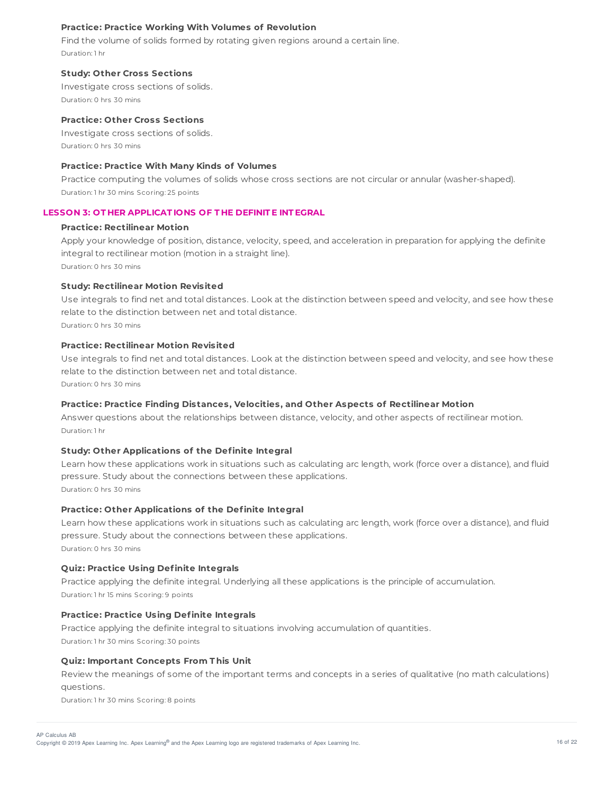# **Practice: Practice Working With Volumes of Revolution**

Find the volume of solids formed by rotating given regions around a certain line. Duration: 1 hr

#### **Study: Other Cross Sections**

Investigate cross sections of solids. Duration: 0 hrs 30 mins

# **Practice: Other Cross Sections**

Investigate cross sections of solids. Duration: 0 hrs 30 mins

# **Practice: Practice With Many Kinds of Volumes**

Practice computing the volumes of solids whose cross sections are not circular or annular (washer-shaped). Duration: 1 hr 30 mins Scoring: 25 points

## **LESSON 3: OT HER APPLICAT IONS OF T HE DEFINIT E INT EGRAL**

#### **Practice: Rectilinear Motion**

Apply your knowledge of position, distance, velocity, speed, and acceleration in preparation for applying the definite integral to rectilinear motion (motion in a straight line).

Duration: 0 hrs 30 mins

# **Study: Rectilinear Motion Revisited**

Use integrals to find net and total distances. Look at the distinction between speed and velocity, and see how these relate to the distinction between net and total distance.

Duration: 0 hrs 30 mins

# **Practice: Rectilinear Motion Revisited**

Use integrals to find net and total distances. Look at the distinction between speed and velocity, and see how these relate to the distinction between net and total distance.

Duration: 0 hrs 30 mins

# **Practice: Practice Finding Distances, Velocities, and Other Aspects of Rectilinear Motion**

Answer questions about the relationships between distance, velocity, and other aspects of rectilinear motion. Duration: 1 hr

#### **Study: Other Applications of the Definite Integral**

Learn how these applications work in situations such as calculating arc length, work (force over a distance), and fluid pressure. Study about the connections between these applications. Duration: 0 hrs 30 mins

# **Practice: Other Applications of the Definite Integral**

Learn how these applications work in situations such as calculating arc length, work (force over a distance), and fluid pressure. Study about the connections between these applications. Duration: 0 hrs 30 mins

# **Quiz: Practice Using Definite Integrals**

Practice applying the definite integral. Underlying all these applications is the principle of accumulation. Duration: 1 hr 15 mins Scoring: 9 points

# **Practice: Practice Using Definite Integrals**

Practice applying the definite integral to situations involving accumulation of quantities.

Duration: 1 hr 30 mins Scoring: 30 points

# **Quiz: Important Concepts From T his Unit**

Review the meanings of some of the important terms and concepts in a series of qualitative (no math calculations) questions.

Duration: 1 hr 30 mins Scoring: 8 points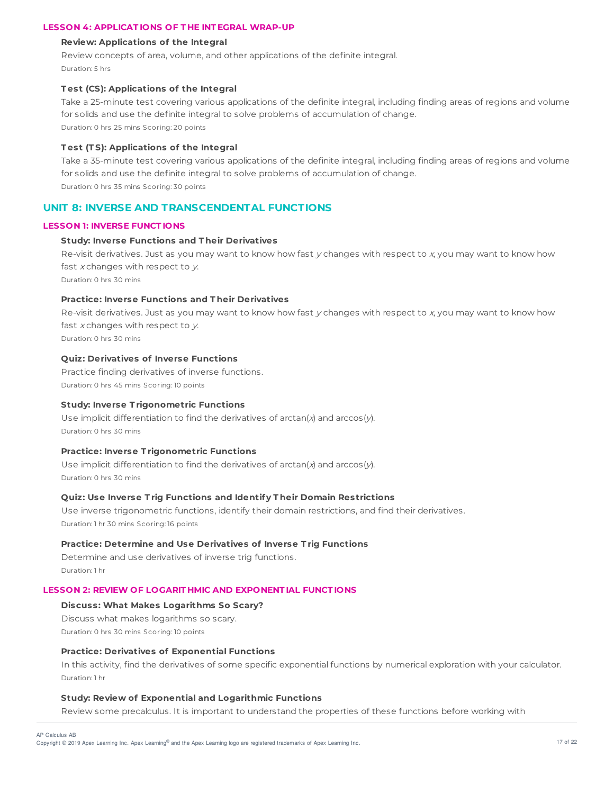## **LESSON 4: APPLICAT IONS OF T HE INT EGRAL WRAP-UP**

### **Review: Applications of the Integral**

Review concepts of area, volume, and other applications of the definite integral. Duration: 5 hrs

# **T est (CS): Applications of the Integral**

Take a 25-minute test covering various applications of the definite integral, including finding areas of regions and volume for solids and use the definite integral to solve problems of accumulation of change.

Duration: 0 hrs 25 mins Scoring: 20 points

# **T est (T S): Applications of the Integral**

Take a 35-minute test covering various applications of the definite integral, including finding areas of regions and volume for solids and use the definite integral to solve problems of accumulation of change. Duration: 0 hrs 35 mins Scoring: 30 points

# **UNIT 8: INVERSE AND TRANSCENDENTAL FUNCTIONS**

### **LESSON 1: INVERSE FUNCT IONS**

### **Study: Inverse Functions and T heir Derivatives**

Re-visit derivatives. Just as you may want to know how fast  $y$  changes with respect to  $x$ , you may want to know how fast  $x$  changes with respect to  $y$ .

Duration: 0 hrs 30 mins

## **Practice: Inverse Functions and T heir Derivatives**

Re-visit derivatives. Just as you may want to know how fast  $y$  changes with respect to  $x$ , you may want to know how fast  $x$  changes with respect to  $y$ .

Duration: 0 hrs 30 mins

# **Quiz: Derivatives of Inverse Functions**

Practice finding derivatives of inverse functions. Duration: 0 hrs 45 mins Scoring: 10 points

# **Study: Inverse T rigonometric Functions**

Use implicit differentiation to find the derivatives of arctan(x) and arccos(y). Duration: 0 hrs 30 mins

### **Practice: Inverse T rigonometric Functions**

Use implicit differentiation to find the derivatives of arctan(x) and arccos(y). Duration: 0 hrs 30 mins

# **Quiz: Use Inverse T rig Functions and Identify T heir Domain Restrictions**

Use inverse trigonometric functions, identify their domain restrictions, and find their derivatives. Duration: 1 hr 30 mins Scoring: 16 points

#### **Practice: Determine and Use Derivatives of Inverse T rig Functions**

Determine and use derivatives of inverse trig functions. Duration: 1 hr

# **LESSON 2: REVIEW OF LOGARIT HMIC AND EXPONENT IAL FUNCT IONS**

# **Discuss: What Makes Logarithms So Scary?**

Discuss what makes logarithms so scary. Duration: 0 hrs 30 mins Scoring: 10 points

# **Practice: Derivatives of Exponential Functions**

In this activity, find the derivatives of some specific exponential functions by numerical exploration with your calculator. Duration: 1 hr

#### **Study: Review of Exponential and Logarithmic Functions**

Review some precalculus. It is important to understand the properties of these functions before working with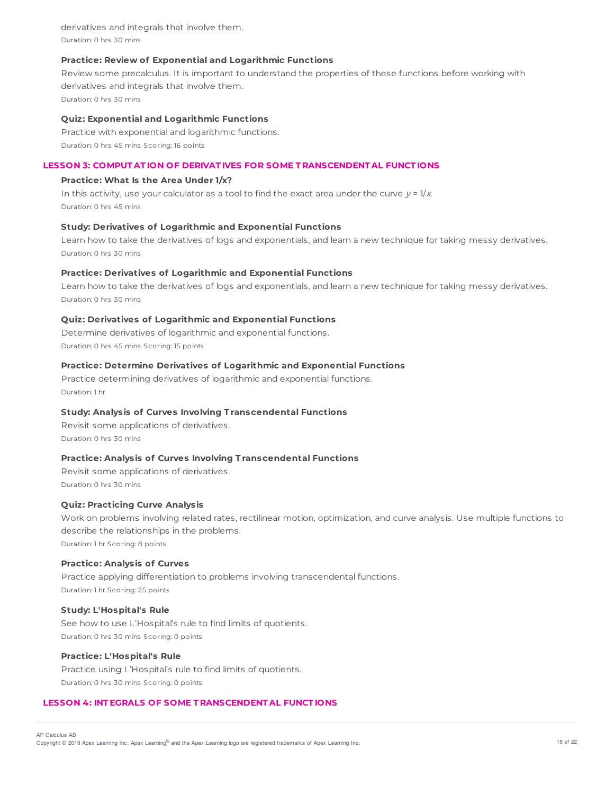derivatives and integrals that involve them. Duration: 0 hrs 30 mins

### **Practice: Review of Exponential and Logarithmic Functions**

Review some precalculus. It is important to understand the properties of these functions before working with derivatives and integrals that involve them. Duration: 0 hrs 30 mins

## **Quiz: Exponential and Logarithmic Functions**

Practice with exponential and logarithmic functions. Duration: 0 hrs 45 mins Scoring: 16 points

# **LESSON 3: COMPUT AT ION OF DERIVAT IVES FOR SOME T RANSCENDENT AL FUNCT IONS**

## **Practice: What Is the Area Under 1/x?**

In this activity, use your calculator as a tool to find the exact area under the curve  $y = 1/x$ . Duration: 0 hrs 45 mins

#### **Study: Derivatives of Logarithmic and Exponential Functions**

Learn how to take the derivatives of logs and exponentials, and learn a new technique for taking messy derivatives. Duration: 0 hrs 30 mins

### **Practice: Derivatives of Logarithmic and Exponential Functions**

Learn how to take the derivatives of logs and exponentials, and learn a new technique for taking messy derivatives. Duration: 0 hrs 30 mins

### **Quiz: Derivatives of Logarithmic and Exponential Functions**

Determine derivatives of logarithmic and exponential functions. Duration: 0 hrs 45 mins Scoring: 15 points

# **Practice: Determine Derivatives of Logarithmic and Exponential Functions**

Practice determining derivatives of logarithmic and exponential functions. Duration: 1 hr

### **Study: Analysis of Curves Involving T ranscendental Functions**

Revisit some applications of derivatives. Duration: 0 hrs 30 mins

# **Practice: Analysis of Curves Involving T ranscendental Functions**

Revisit some applications of derivatives. Duration: 0 hrs 30 mins

#### **Quiz: Practicing Curve Analysis**

Work on problems involving related rates, rectilinear motion, optimization, and curve analysis. Use multiple functions to describe the relationships in the problems. Duration: 1 hr Scoring: 8 points

**Practice: Analysis of Curves**

Practice applying differentiation to problems involving transcendental functions. Duration: 1 hr Scoring: 25 points

#### **Study: L'Hospital's Rule**

See how to use L'Hospital's rule to find limits of quotients. Duration: 0 hrs 30 mins Scoring: 0 points

# **Practice: L'Hospital's Rule**

Practice using L'Hospital's rule to find limits of quotients. Duration: 0 hrs 30 mins Scoring: 0 points

# **LESSON 4: INT EGRALS OF SOME T RANSCENDENT AL FUNCT IONS**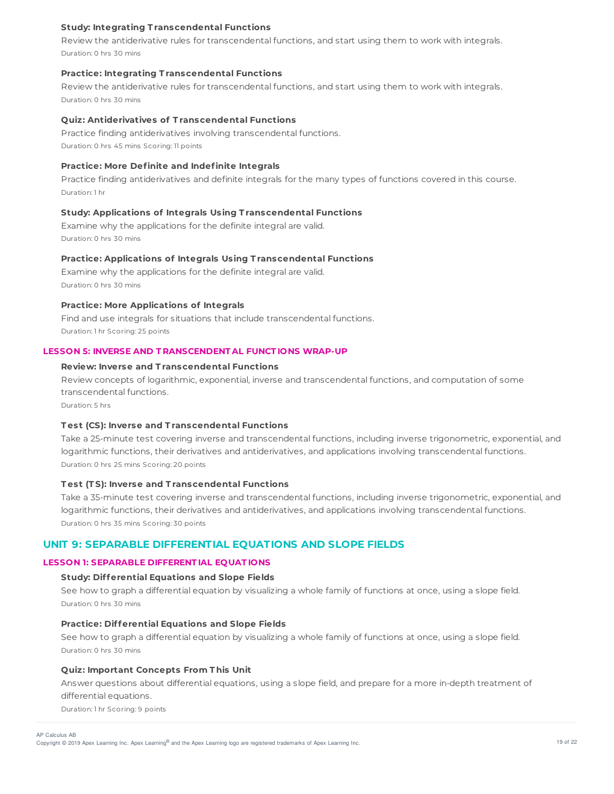## **Study: Integrating T ranscendental Functions**

Review the antiderivative rules for transcendental functions, and start using them to work with integrals. Duration: 0 hrs 30 mins

#### **Practice: Integrating T ranscendental Functions**

Review the antiderivative rules for transcendental functions, and start using them to work with integrals. Duration: 0 hrs 30 mins

### **Quiz: Antiderivatives of T ranscendental Functions**

Practice finding antiderivatives involving transcendental functions. Duration: 0 hrs 45 mins Scoring: 11 points

#### **Practice: More Definite and Indefinite Integrals**

Practice finding antiderivatives and definite integrals for the many types of functions covered in this course. Duration: 1 hr

## **Study: Applications of Integrals Using T ranscendental Functions**

Examine why the applications for the definite integral are valid. Duration: 0 hrs 30 mins

# **Practice: Applications of Integrals Using T ranscendental Functions**

Examine why the applications for the definite integral are valid. Duration: 0 hrs 30 mins

# **Practice: More Applications of Integrals**

Find and use integrals for situations that include transcendental functions. Duration: 1 hr Scoring: 25 points

# **LESSON 5: INVERSE AND T RANSCENDENT AL FUNCT IONS WRAP-UP**

# **Review: Inverse and T ranscendental Functions**

Review concepts of logarithmic, exponential, inverse and transcendental functions, and computation of some transcendental functions.

Duration: 5 hrs

#### **T est (CS): Inverse and T ranscendental Functions**

Take a 25-minute test covering inverse and transcendental functions, including inverse trigonometric, exponential, and logarithmic functions, their derivatives and antiderivatives, and applications involving transcendental functions. Duration: 0 hrs 25 mins Scoring: 20 points

# **T est (T S): Inverse and T ranscendental Functions**

Take a 35-minute test covering inverse and transcendental functions, including inverse trigonometric, exponential, and logarithmic functions, their derivatives and antiderivatives, and applications involving transcendental functions. Duration: 0 hrs 35 mins Scoring: 30 points

# **UNIT 9: SEPARABLE DIFFERENTIAL EQUATIONS AND SLOPE FIELDS**

# **LESSON 1: SEPARABLE DIFFERENT IAL EQUAT IONS**

## **Study: Differential Equations and Slope Fields**

See how to graph a differential equation by visualizing a whole family of functions at once, using a slope field. Duration: 0 hrs 30 mins

#### **Practice: Differential Equations and Slope Fields**

See how to graph a differential equation by visualizing a whole family of functions at once, using a slope field. Duration: 0 hrs 30 mins

### **Quiz: Important Concepts From T his Unit**

Answer questions about differential equations, using a slope field, and prepare for a more in-depth treatment of differential equations.

Duration: 1 hr Scoring: 9 points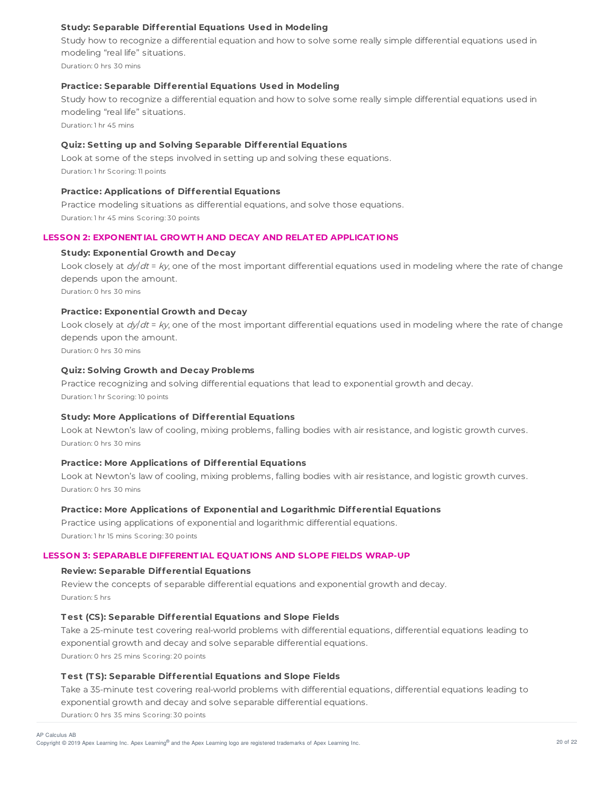# **Study: Separable Differential Equations Used in Modeling**

Study how to recognize a differential equation and how to solve some really simple differential equations used in modeling "real life" situations.

Duration: 0 hrs 30 mins

# **Practice: Separable Differential Equations Used in Modeling**

Study how to recognize a differential equation and how to solve some really simple differential equations used in modeling "real life" situations.

Duration: 1 hr 45 mins

# **Quiz: Setting up and Solving Separable Differential Equations**

Look at some of the steps involved in setting up and solving these equations. Duration: 1 hr Scoring: 11 points

### **Practice: Applications of Differential Equations**

Practice modeling situations as differential equations, and solve those equations. Duration: 1 hr 45 mins Scoring: 30 points

# **LESSON 2: EXPONENT IAL GROWT H AND DECAY AND RELAT ED APPLICAT IONS**

#### **Study: Exponential Growth and Decay**

Look closely at  $dy/dt = ky$ , one of the most important differential equations used in modeling where the rate of change depends upon the amount. Duration: 0 hrs 30 mins

#### **Practice: Exponential Growth and Decay**

Look closely at  $dy/dt = ky$ , one of the most important differential equations used in modeling where the rate of change depends upon the amount.

Duration: 0 hrs 30 mins

# **Quiz: Solving Growth and Decay Problems**

Practice recognizing and solving differential equations that lead to exponential growth and decay. Duration: 1 hr Scoring: 10 points

#### **Study: More Applications of Differential Equations**

Look at Newton's law of cooling, mixing problems, falling bodies with air resistance, and logistic growth curves. Duration: 0 hrs 30 mins

### **Practice: More Applications of Differential Equations**

Look at Newton's law of cooling, mixing problems, falling bodies with air resistance, and logistic growth curves. Duration: 0 hrs 30 mins

# **Practice: More Applications of Exponential and Logarithmic Differential Equations**

Practice using applications of exponential and logarithmic differential equations. Duration: 1 hr 15 mins Scoring: 30 points

#### **LESSON 3: SEPARABLE DIFFERENT IAL EQUAT IONS AND SLOPE FIELDS WRAP-UP**

#### **Review: Separable Differential Equations**

Review the concepts of separable differential equations and exponential growth and decay. Duration: 5 hrs

#### **T est (CS): Separable Differential Equations and Slope Fields**

Take a 25-minute test covering real-world problems with differential equations, differential equations leading to exponential growth and decay and solve separable differential equations. Duration: 0 hrs 25 mins Scoring: 20 points

#### **T est (T S): Separable Differential Equations and Slope Fields**

Take a 35-minute test covering real-world problems with differential equations, differential equations leading to exponential growth and decay and solve separable differential equations.

Duration: 0 hrs 35 mins Scoring: 30 points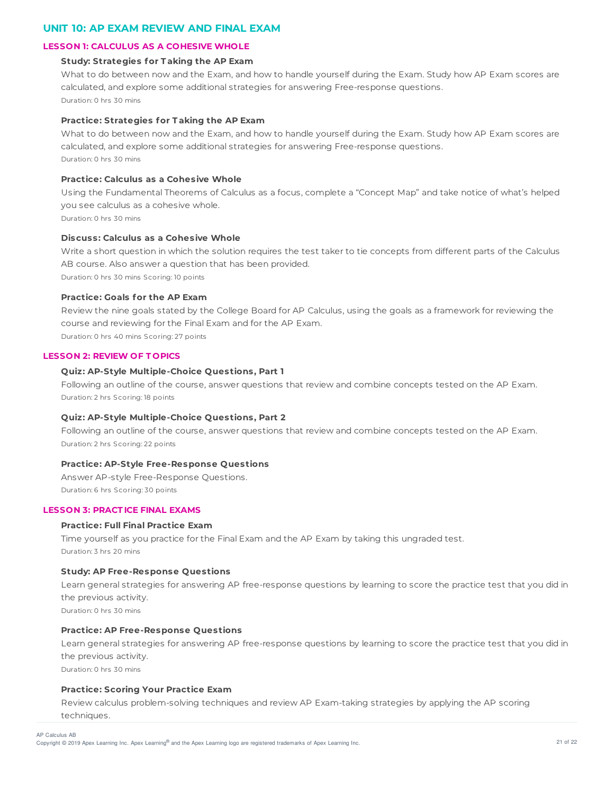# **UNIT 10: AP EXAM REVIEW AND FINAL EXAM**

# **LESSON 1: CALCULUS AS A COHESIVE WHOLE**

# **Study: Strategies for T aking the AP Exam**

What to do between now and the Exam, and how to handle yourself during the Exam. Study how AP Exam scores are calculated, and explore some additional strategies for answering Free-response questions. Duration: 0 hrs 30 mins

# **Practice: Strategies for T aking the AP Exam**

What to do between now and the Exam, and how to handle yourself during the Exam. Study how AP Exam scores are calculated, and explore some additional strategies for answering Free-response questions. Duration: 0 hrs 30 mins

# **Practice: Calculus as a Cohesive Whole**

Using the Fundamental Theorems of Calculus as a focus, complete a "Concept Map" and take notice of what's helped you see calculus as a cohesive whole.

Duration: 0 hrs 30 mins

# **Discuss: Calculus as a Cohesive Whole**

Write a short question in which the solution requires the test taker to tie concepts from different parts of the Calculus AB course. Also answer a question that has been provided.

Duration: 0 hrs 30 mins Scoring: 10 points

# **Practice: Goals for the AP Exam**

Review the nine goals stated by the College Board for AP Calculus, using the goals as a framework for reviewing the course and reviewing for the Final Exam and for the AP Exam.

Duration: 0 hrs 40 mins Scoring: 27 points

# **LESSON 2: REVIEW OF T OPICS**

# **Quiz: AP-Style Multiple-Choice Questions, Part 1**

Following an outline of the course, answer questions that review and combine concepts tested on the AP Exam. Duration: 2 hrs Scoring: 18 points

# **Quiz: AP-Style Multiple-Choice Questions, Part 2**

Following an outline of the course, answer questions that review and combine concepts tested on the AP Exam. Duration: 2 hrs Scoring: 22 points

# **Practice: AP-Style Free-Response Questions**

Answer AP-style Free-Response Questions. Duration: 6 hrs Scoring: 30 points

# **LESSON 3: PRACT ICE FINAL EXAMS**

# **Practice: Full Final Practice Exam**

Time yourself as you practice for the Final Exam and the AP Exam by taking this ungraded test. Duration: 3 hrs 20 mins

# **Study: AP Free-Response Questions**

Learn general strategies for answering AP free-response questions by learning to score the practice test that you did in the previous activity. Duration: 0 hrs 30 mins

# **Practice: AP Free-Response Questions**

Learn general strategies for answering AP free-response questions by learning to score the practice test that you did in the previous activity.

Duration: 0 hrs 30 mins

# **Practice: Scoring Your Practice Exam**

Review calculus problem-solving techniques and review AP Exam-taking strategies by applying the AP scoring techniques.